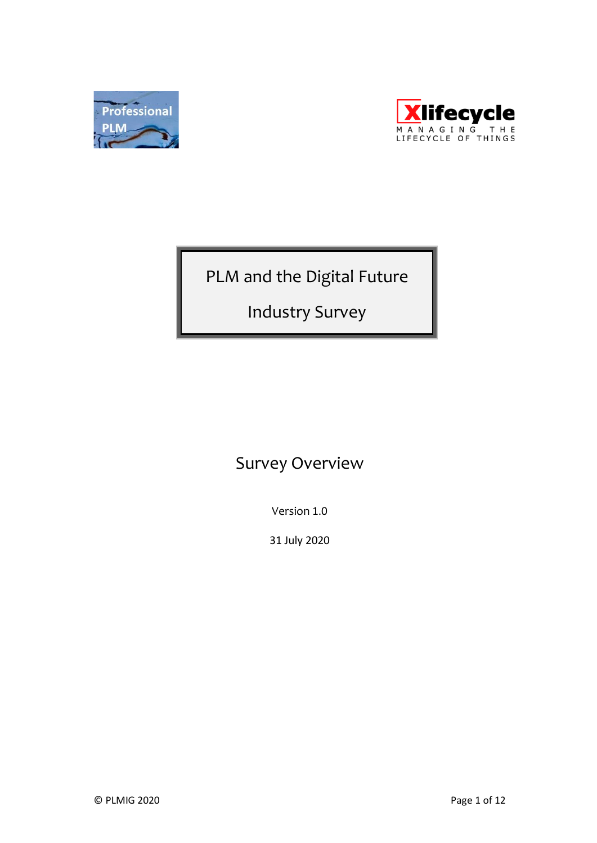



PLM and the Digital Future

Industry Survey

# Survey Overview

Version 1.0

31 July 2020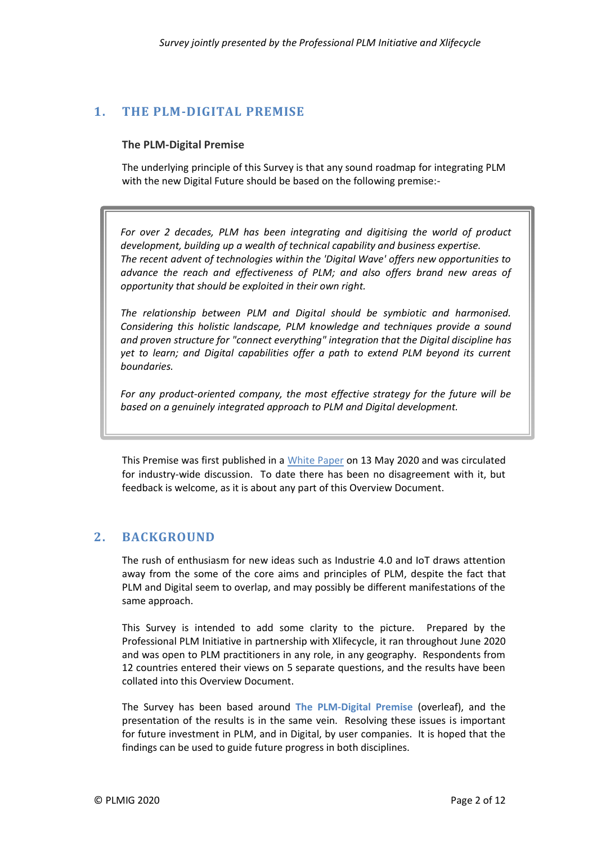## <span id="page-1-1"></span><span id="page-1-0"></span>**1. THE PLM-DIGITAL PREMISE**

#### **The PLM-Digital Premise**

The underlying principle of this Survey is that any sound roadmap for integrating PLM with the new Digital Future should be based on the following premise:-

*For over 2 decades, PLM has been integrating and digitising the world of product development, building up a wealth of technical capability and business expertise. The recent advent of technologies within the 'Digital Wave' offers new opportunities to advance the reach and effectiveness of PLM; and also offers brand new areas of opportunity that should be exploited in their own right.*

*The relationship between PLM and Digital should be symbiotic and harmonised. Considering this holistic landscape, PLM knowledge and techniques provide a sound and proven structure for "connect everything" integration that the Digital discipline has yet to learn; and Digital capabilities offer a path to extend PLM beyond its current boundaries.*

*For any product-oriented company, the most effective strategy for the future will be based on a genuinely integrated approach to PLM and Digital development.*

This Premise was first published in a [White Paper](http://www.professionalplm.org/wac1plmwhitepaper.shtml) on 13 May 2020 and was circulated for industry-wide discussion. To date there has been no disagreement with it, but feedback is welcome, as it is about any part of this Overview Document.

## **2. BACKGROUND**

The rush of enthusiasm for new ideas such as Industrie 4.0 and IoT draws attention away from the some of the core aims and principles of PLM, despite the fact that PLM and Digital seem to overlap, and may possibly be different manifestations of the same approach.

This Survey is intended to add some clarity to the picture. Prepared by the Professional PLM Initiative in partnership with Xlifecycle, it ran throughout June 2020 and was open to PLM practitioners in any role, in any geography. Respondents from 12 countries entered their views on 5 separate questions, and the results have been collated into this Overview Document.

The Survey has been based around **[The PLM-Digital Premise](#page-1-0)** (overleaf), and the presentation of the results is in the same vein. Resolving these issues is important for future investment in PLM, and in Digital, by user companies. It is hoped that the findings can be used to guide future progress in both disciplines.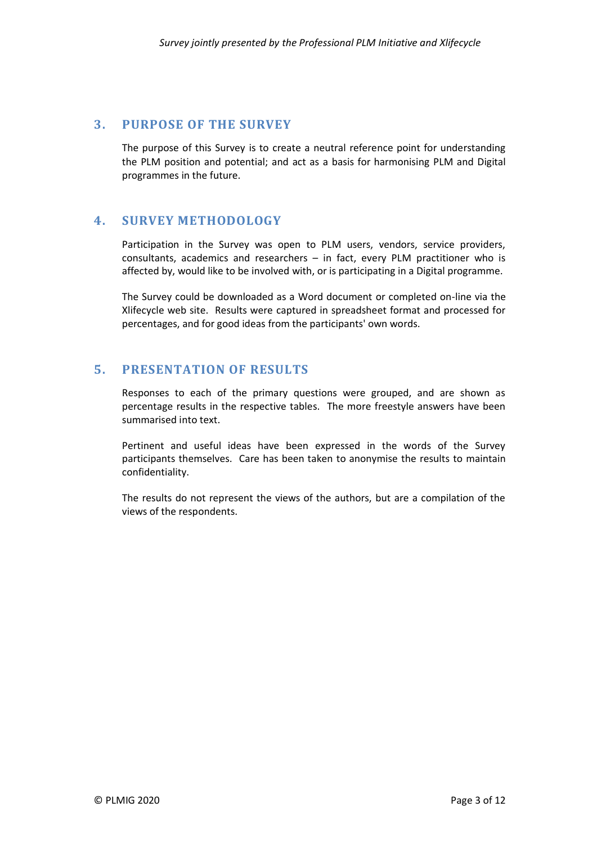## **3. PURPOSE OF THE SURVEY**

The purpose of this Survey is to create a neutral reference point for understanding the PLM position and potential; and act as a basis for harmonising PLM and Digital programmes in the future.

## **4. SURVEY METHODOLOGY**

Participation in the Survey was open to PLM users, vendors, service providers, consultants, academics and researchers – in fact, every PLM practitioner who is affected by, would like to be involved with, or is participating in a Digital programme.

The Survey could be downloaded as a Word document or completed on-line via the Xlifecycle web site. Results were captured in spreadsheet format and processed for percentages, and for good ideas from the participants' own words.

## **5. PRESENTATION OF RESULTS**

Responses to each of the primary questions were grouped, and are shown as percentage results in the respective tables. The more freestyle answers have been summarised into text.

Pertinent and useful ideas have been expressed in the words of the Survey participants themselves. Care has been taken to anonymise the results to maintain confidentiality.

The results do not represent the views of the authors, but are a compilation of the views of the respondents.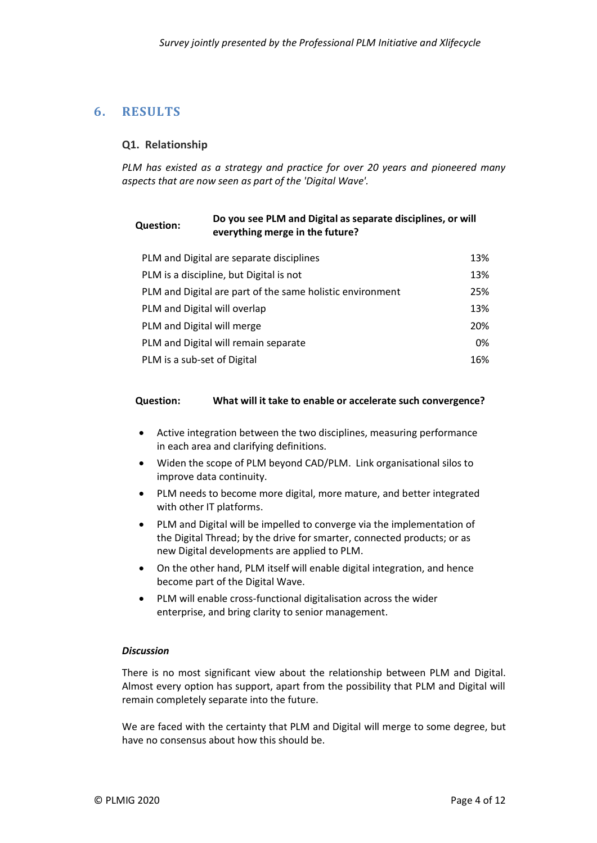## **6. RESULTS**

### **Q1. Relationship**

*PLM has existed as a strategy and practice for over 20 years and pioneered many aspects that are now seen as part of the 'Digital Wave'.* 

#### **Question: Do you see PLM and Digital as separate disciplines, or will everything merge in the future?**

| PLM and Digital are separate disciplines                  | 13% |
|-----------------------------------------------------------|-----|
| PLM is a discipline, but Digital is not                   | 13% |
| PLM and Digital are part of the same holistic environment | 25% |
| PLM and Digital will overlap                              | 13% |
| PLM and Digital will merge                                | 20% |
| PLM and Digital will remain separate                      | 0%  |
| PLM is a sub-set of Digital                               | 16% |

#### **Question: What will it take to enable or accelerate such convergence?**

- Active integration between the two disciplines, measuring performance in each area and clarifying definitions.
- Widen the scope of PLM beyond CAD/PLM. Link organisational silos to improve data continuity.
- PLM needs to become more digital, more mature, and better integrated with other IT platforms.
- PLM and Digital will be impelled to converge via the implementation of the Digital Thread; by the drive for smarter, connected products; or as new Digital developments are applied to PLM.
- On the other hand, PLM itself will enable digital integration, and hence become part of the Digital Wave.
- PLM will enable cross-functional digitalisation across the wider enterprise, and bring clarity to senior management.

#### *Discussion*

There is no most significant view about the relationship between PLM and Digital. Almost every option has support, apart from the possibility that PLM and Digital will remain completely separate into the future.

We are faced with the certainty that PLM and Digital will merge to some degree, but have no consensus about how this should be.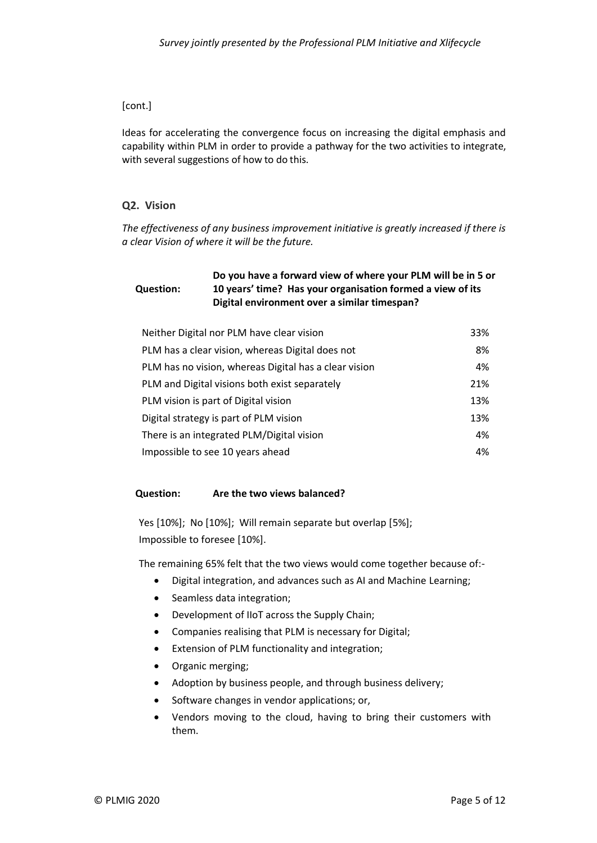### [cont.]

Ideas for accelerating the convergence focus on increasing the digital emphasis and capability within PLM in order to provide a pathway for the two activities to integrate, with several suggestions of how to do this.

### **Q2. Vision**

*The effectiveness of any business improvement initiative is greatly increased if there is a clear Vision of where it will be the future.*

#### **Question: Do you have a forward view of where your PLM will be in 5 or 10 years' time? Has your organisation formed a view of its Digital environment over a similar timespan?**

| Neither Digital nor PLM have clear vision             | 33% |
|-------------------------------------------------------|-----|
| PLM has a clear vision, whereas Digital does not      | 8%  |
| PLM has no vision, whereas Digital has a clear vision | 4%  |
| PLM and Digital visions both exist separately         | 21% |
| PLM vision is part of Digital vision                  | 13% |
| Digital strategy is part of PLM vision                | 13% |
| There is an integrated PLM/Digital vision             | 4%  |
| Impossible to see 10 years ahead                      | 4%  |

### **Question: Are the two views balanced?**

Yes [10%]; No [10%]; Will remain separate but overlap [5%]; Impossible to foresee [10%].

The remaining 65% felt that the two views would come together because of:-

- Digital integration, and advances such as AI and Machine Learning;
- Seamless data integration;
- Development of IIoT across the Supply Chain;
- Companies realising that PLM is necessary for Digital;
- Extension of PLM functionality and integration;
- Organic merging;
- Adoption by business people, and through business delivery;
- Software changes in vendor applications; or,
- Vendors moving to the cloud, having to bring their customers with them.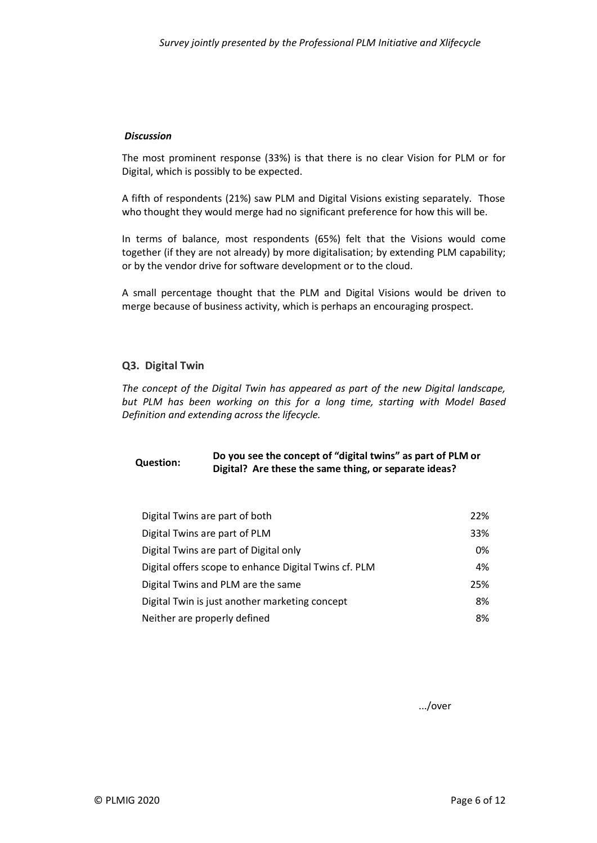#### *Discussion*

The most prominent response (33%) is that there is no clear Vision for PLM or for Digital, which is possibly to be expected.

A fifth of respondents (21%) saw PLM and Digital Visions existing separately. Those who thought they would merge had no significant preference for how this will be.

In terms of balance, most respondents (65%) felt that the Visions would come together (if they are not already) by more digitalisation; by extending PLM capability; or by the vendor drive for software development or to the cloud.

A small percentage thought that the PLM and Digital Visions would be driven to merge because of business activity, which is perhaps an encouraging prospect.

#### **Q3. Digital Twin**

*The concept of the Digital Twin has appeared as part of the new Digital landscape, but PLM has been working on this for a long time, starting with Model Based Definition and extending across the lifecycle.* 

### **Question: Do you see the concept of "digital twins" as part of PLM or Digital? Are these the same thing, or separate ideas?**

| Digital Twins are part of both                        | 22% |
|-------------------------------------------------------|-----|
| Digital Twins are part of PLM                         | 33% |
| Digital Twins are part of Digital only                | 0%  |
| Digital offers scope to enhance Digital Twins cf. PLM | 4%  |
| Digital Twins and PLM are the same                    | 25% |
| Digital Twin is just another marketing concept        | 8%  |
| Neither are properly defined                          | 8%  |

.../over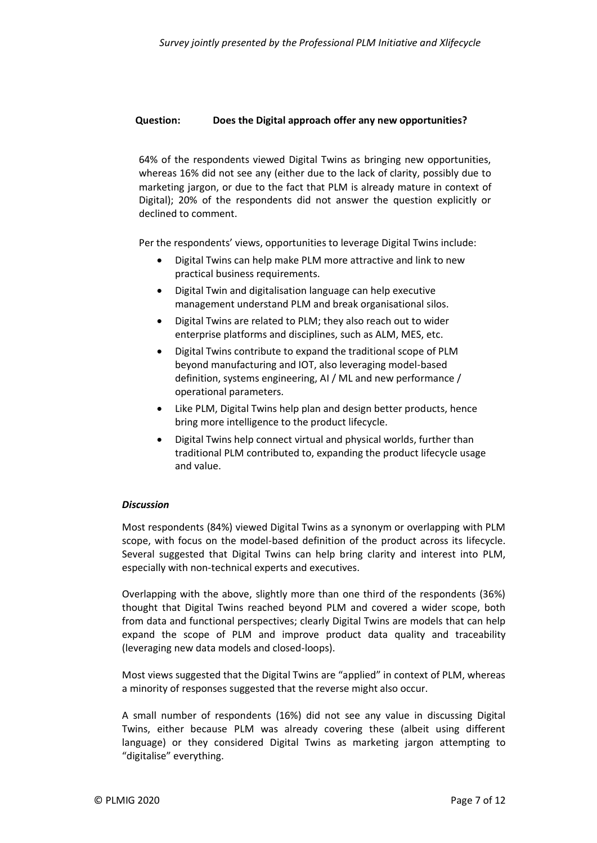#### **Question: Does the Digital approach offer any new opportunities?**

64% of the respondents viewed Digital Twins as bringing new opportunities, whereas 16% did not see any (either due to the lack of clarity, possibly due to marketing jargon, or due to the fact that PLM is already mature in context of Digital); 20% of the respondents did not answer the question explicitly or declined to comment.

Per the respondents' views, opportunities to leverage Digital Twins include:

- Digital Twins can help make PLM more attractive and link to new practical business requirements.
- Digital Twin and digitalisation language can help executive management understand PLM and break organisational silos.
- Digital Twins are related to PLM; they also reach out to wider enterprise platforms and disciplines, such as ALM, MES, etc.
- Digital Twins contribute to expand the traditional scope of PLM beyond manufacturing and IOT, also leveraging model-based definition, systems engineering, AI / ML and new performance / operational parameters.
- Like PLM, Digital Twins help plan and design better products, hence bring more intelligence to the product lifecycle.
- Digital Twins help connect virtual and physical worlds, further than traditional PLM contributed to, expanding the product lifecycle usage and value.

#### *Discussion*

Most respondents (84%) viewed Digital Twins as a synonym or overlapping with PLM scope, with focus on the model-based definition of the product across its lifecycle. Several suggested that Digital Twins can help bring clarity and interest into PLM, especially with non-technical experts and executives.

Overlapping with the above, slightly more than one third of the respondents (36%) thought that Digital Twins reached beyond PLM and covered a wider scope, both from data and functional perspectives; clearly Digital Twins are models that can help expand the scope of PLM and improve product data quality and traceability (leveraging new data models and closed-loops).

Most views suggested that the Digital Twins are "applied" in context of PLM, whereas a minority of responses suggested that the reverse might also occur.

A small number of respondents (16%) did not see any value in discussing Digital Twins, either because PLM was already covering these (albeit using different language) or they considered Digital Twins as marketing jargon attempting to "digitalise" everything.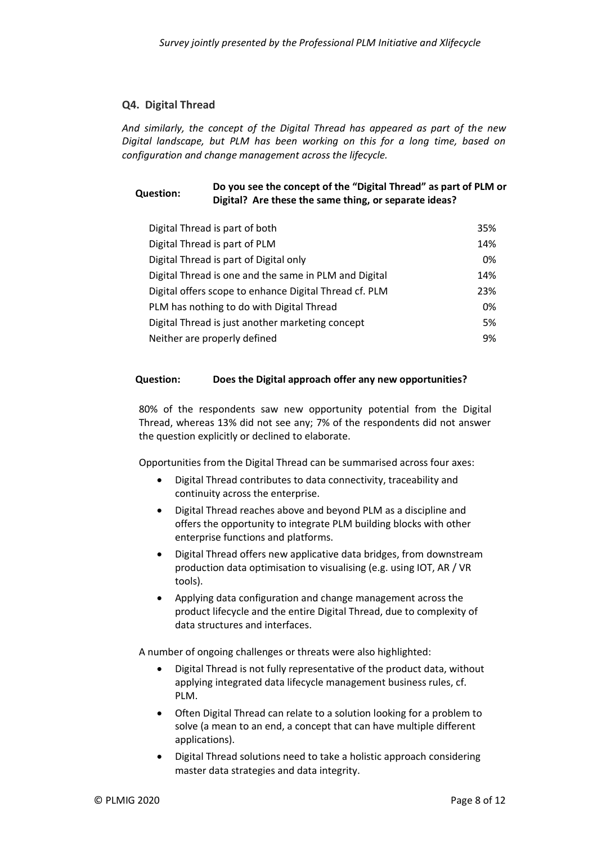#### **Q4. Digital Thread**

*And similarly, the concept of the Digital Thread has appeared as part of the new Digital landscape, but PLM has been working on this for a long time, based on configuration and change management across the lifecycle.* 

### **Question: Do you see the concept of the "Digital Thread" as part of PLM or Digital? Are these the same thing, or separate ideas?**

| Digital Thread is part of both                         | 35% |
|--------------------------------------------------------|-----|
| Digital Thread is part of PLM                          | 14% |
| Digital Thread is part of Digital only                 | 0%  |
| Digital Thread is one and the same in PLM and Digital  | 14% |
| Digital offers scope to enhance Digital Thread cf. PLM | 23% |
| PLM has nothing to do with Digital Thread              | 0%  |
| Digital Thread is just another marketing concept       | 5%  |
| Neither are properly defined                           | 9%  |

#### **Question: Does the Digital approach offer any new opportunities?**

80% of the respondents saw new opportunity potential from the Digital Thread, whereas 13% did not see any; 7% of the respondents did not answer the question explicitly or declined to elaborate.

Opportunities from the Digital Thread can be summarised across four axes:

- Digital Thread contributes to data connectivity, traceability and continuity across the enterprise.
- Digital Thread reaches above and beyond PLM as a discipline and offers the opportunity to integrate PLM building blocks with other enterprise functions and platforms.
- Digital Thread offers new applicative data bridges, from downstream production data optimisation to visualising (e.g. using IOT, AR / VR tools).
- Applying data configuration and change management across the product lifecycle and the entire Digital Thread, due to complexity of data structures and interfaces.

A number of ongoing challenges or threats were also highlighted:

- Digital Thread is not fully representative of the product data, without applying integrated data lifecycle management business rules, cf. PLM.
- Often Digital Thread can relate to a solution looking for a problem to solve (a mean to an end, a concept that can have multiple different applications).
- Digital Thread solutions need to take a holistic approach considering master data strategies and data integrity.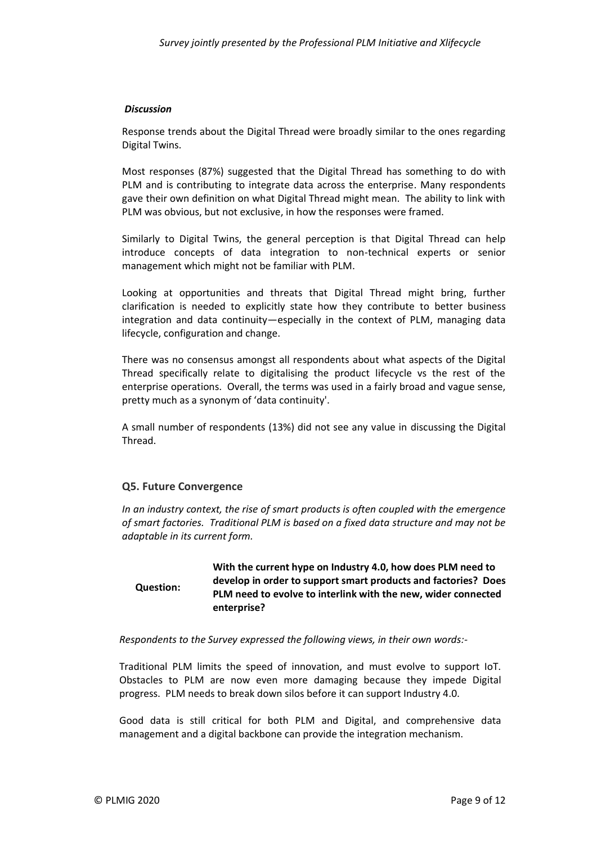#### *Discussion*

Response trends about the Digital Thread were broadly similar to the ones regarding Digital Twins.

Most responses (87%) suggested that the Digital Thread has something to do with PLM and is contributing to integrate data across the enterprise. Many respondents gave their own definition on what Digital Thread might mean. The ability to link with PLM was obvious, but not exclusive, in how the responses were framed.

Similarly to Digital Twins, the general perception is that Digital Thread can help introduce concepts of data integration to non-technical experts or senior management which might not be familiar with PLM.

Looking at opportunities and threats that Digital Thread might bring, further clarification is needed to explicitly state how they contribute to better business integration and data continuity—especially in the context of PLM, managing data lifecycle, configuration and change.

There was no consensus amongst all respondents about what aspects of the Digital Thread specifically relate to digitalising the product lifecycle vs the rest of the enterprise operations. Overall, the terms was used in a fairly broad and vague sense, pretty much as a synonym of 'data continuity'.

A small number of respondents (13%) did not see any value in discussing the Digital Thread.

#### **Q5. Future Convergence**

*In an industry context, the rise of smart products is often coupled with the emergence of smart factories. Traditional PLM is based on a fixed data structure and may not be adaptable in its current form.*

**Question: With the current hype on Industry 4.0, how does PLM need to develop in order to support smart products and factories? Does PLM need to evolve to interlink with the new, wider connected enterprise?**

#### *Respondents to the Survey expressed the following views, in their own words:-*

Traditional PLM limits the speed of innovation, and must evolve to support IoT. Obstacles to PLM are now even more damaging because they impede Digital progress. PLM needs to break down silos before it can support Industry 4.0.

Good data is still critical for both PLM and Digital, and comprehensive data management and a digital backbone can provide the integration mechanism.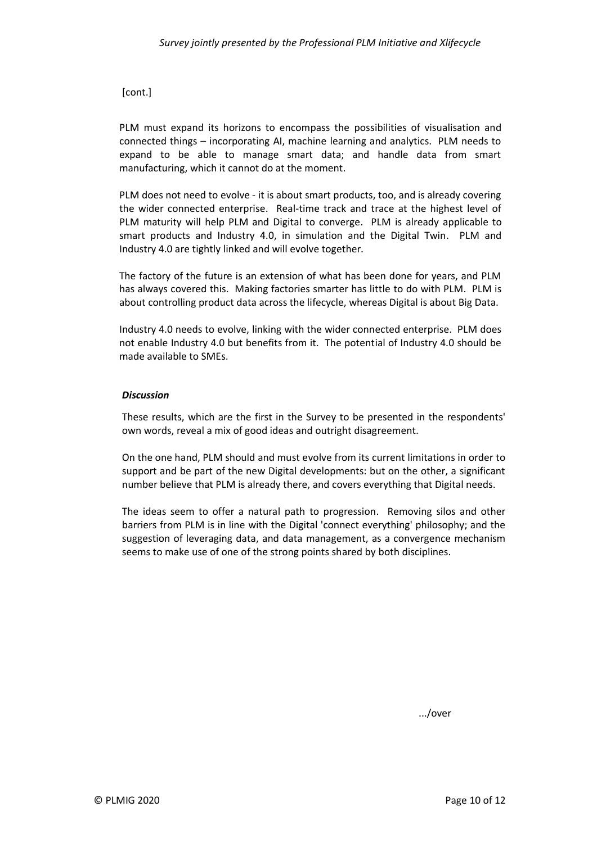[cont.]

PLM must expand its horizons to encompass the possibilities of visualisation and connected things – incorporating AI, machine learning and analytics. PLM needs to expand to be able to manage smart data; and handle data from smart manufacturing, which it cannot do at the moment.

PLM does not need to evolve - it is about smart products, too, and is already covering the wider connected enterprise. Real-time track and trace at the highest level of PLM maturity will help PLM and Digital to converge. PLM is already applicable to smart products and Industry 4.0, in simulation and the Digital Twin. PLM and Industry 4.0 are tightly linked and will evolve together.

The factory of the future is an extension of what has been done for years, and PLM has always covered this. Making factories smarter has little to do with PLM. PLM is about controlling product data across the lifecycle, whereas Digital is about Big Data.

Industry 4.0 needs to evolve, linking with the wider connected enterprise. PLM does not enable Industry 4.0 but benefits from it. The potential of Industry 4.0 should be made available to SMEs.

#### *Discussion*

These results, which are the first in the Survey to be presented in the respondents' own words, reveal a mix of good ideas and outright disagreement.

On the one hand, PLM should and must evolve from its current limitations in order to support and be part of the new Digital developments: but on the other, a significant number believe that PLM is already there, and covers everything that Digital needs.

The ideas seem to offer a natural path to progression. Removing silos and other barriers from PLM is in line with the Digital 'connect everything' philosophy; and the suggestion of leveraging data, and data management, as a convergence mechanism seems to make use of one of the strong points shared by both disciplines.

.../over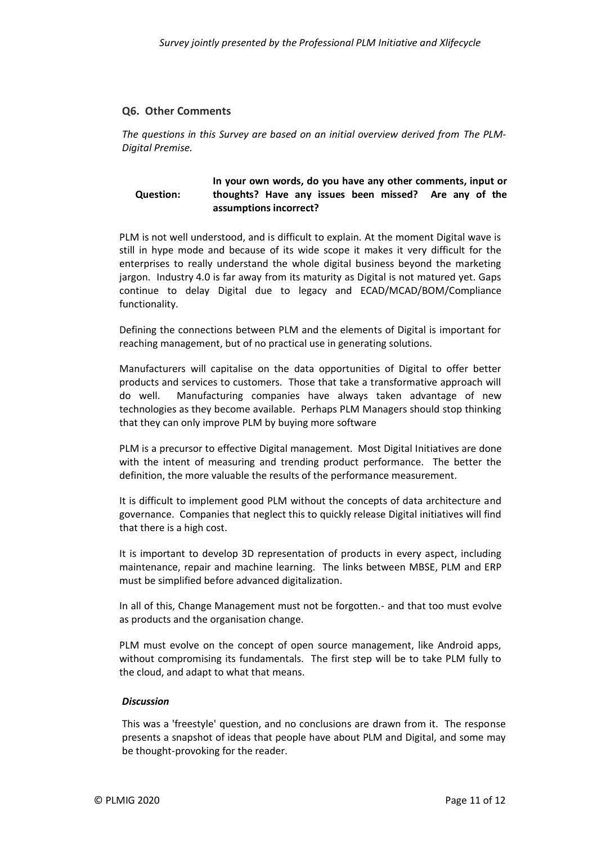#### **Q6. Other Comments**

*The questions in this Survey are based on an initial overview derived from [The PLM-](#page-1-1)[Digital Premise.](#page-1-1)*

**Question: In your own words, do you have any other comments, input or thoughts? Have any issues been missed? Are any of the assumptions incorrect?**

PLM is not well understood, and is difficult to explain. At the moment Digital wave is still in hype mode and because of its wide scope it makes it very difficult for the enterprises to really understand the whole digital business beyond the marketing jargon. Industry 4.0 is far away from its maturity as Digital is not matured yet. Gaps continue to delay Digital due to legacy and ECAD/MCAD/BOM/Compliance functionality.

Defining the connections between PLM and the elements of Digital is important for reaching management, but of no practical use in generating solutions.

Manufacturers will capitalise on the data opportunities of Digital to offer better products and services to customers. Those that take a transformative approach will do well. Manufacturing companies have always taken advantage of new technologies as they become available. Perhaps PLM Managers should stop thinking that they can only improve PLM by buying more software

PLM is a precursor to effective Digital management. Most Digital Initiatives are done with the intent of measuring and trending product performance. The better the definition, the more valuable the results of the performance measurement.

It is difficult to implement good PLM without the concepts of data architecture and governance. Companies that neglect this to quickly release Digital initiatives will find that there is a high cost.

It is important to develop 3D representation of products in every aspect, including maintenance, repair and machine learning. The links between MBSE, PLM and ERP must be simplified before advanced digitalization.

In all of this, Change Management must not be forgotten.- and that too must evolve as products and the organisation change.

PLM must evolve on the concept of open source management, like Android apps, without compromising its fundamentals. The first step will be to take PLM fully to the cloud, and adapt to what that means.

#### *Discussion*

This was a 'freestyle' question, and no conclusions are drawn from it. The response presents a snapshot of ideas that people have about PLM and Digital, and some may be thought-provoking for the reader.